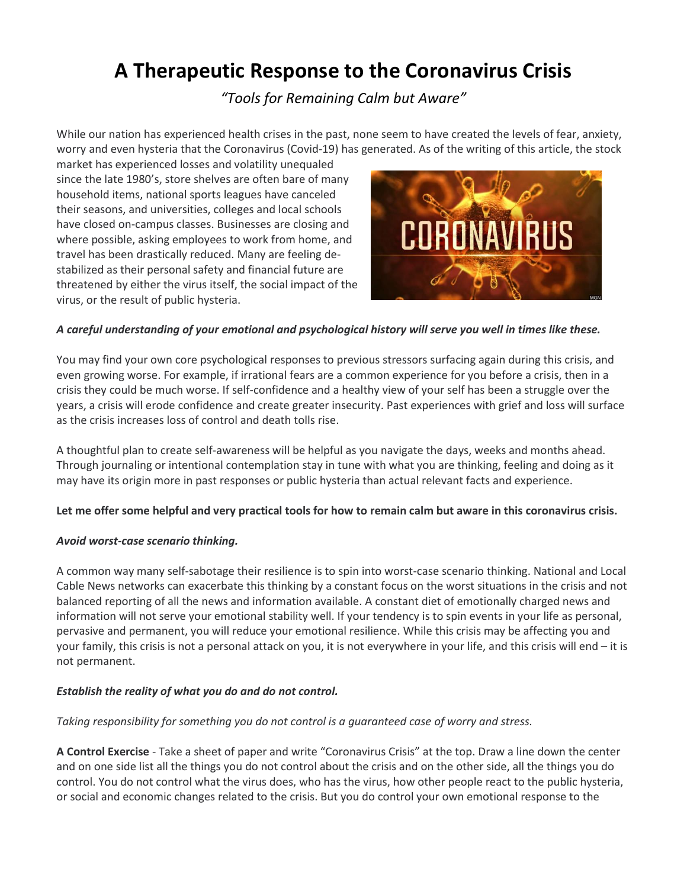# **A Therapeutic Response to the Coronavirus Crisis**

*"Tools for Remaining Calm but Aware"*

While our nation has experienced health crises in the past, none seem to have created the levels of fear, anxiety, worry and even hysteria that the Coronavirus (Covid-19) has generated. As of the writing of this article, the stock

market has experienced losses and volatility unequaled since the late 1980's, store shelves are often bare of many household items, national sports leagues have canceled their seasons, and universities, colleges and local schools have closed on-campus classes. Businesses are closing and where possible, asking employees to work from home, and travel has been drastically reduced. Many are feeling destabilized as their personal safety and financial future are threatened by either the virus itself, the social impact of the virus, or the result of public hysteria.



## *A careful understanding of your emotional and psychological history will serve you well in times like these.*

You may find your own core psychological responses to previous stressors surfacing again during this crisis, and even growing worse. For example, if irrational fears are a common experience for you before a crisis, then in a crisis they could be much worse. If self-confidence and a healthy view of your self has been a struggle over the years, a crisis will erode confidence and create greater insecurity. Past experiences with grief and loss will surface as the crisis increases loss of control and death tolls rise.

A thoughtful plan to create self-awareness will be helpful as you navigate the days, weeks and months ahead. Through journaling or intentional contemplation stay in tune with what you are thinking, feeling and doing as it may have its origin more in past responses or public hysteria than actual relevant facts and experience.

## **Let me offer some helpful and very practical tools for how to remain calm but aware in this coronavirus crisis.**

#### *Avoid worst-case scenario thinking.*

A common way many self-sabotage their resilience is to spin into worst-case scenario thinking. National and Local Cable News networks can exacerbate this thinking by a constant focus on the worst situations in the crisis and not balanced reporting of all the news and information available. A constant diet of emotionally charged news and information will not serve your emotional stability well. If your tendency is to spin events in your life as personal, pervasive and permanent, you will reduce your emotional resilience. While this crisis may be affecting you and your family, this crisis is not a personal attack on you, it is not everywhere in your life, and this crisis will end – it is not permanent.

## *Establish the reality of what you do and do not control.*

## *Taking responsibility for something you do not control is a guaranteed case of worry and stress.*

**A Control Exercise** - Take a sheet of paper and write "Coronavirus Crisis" at the top. Draw a line down the center and on one side list all the things you do not control about the crisis and on the other side, all the things you do control. You do not control what the virus does, who has the virus, how other people react to the public hysteria, or social and economic changes related to the crisis. But you do control your own emotional response to the